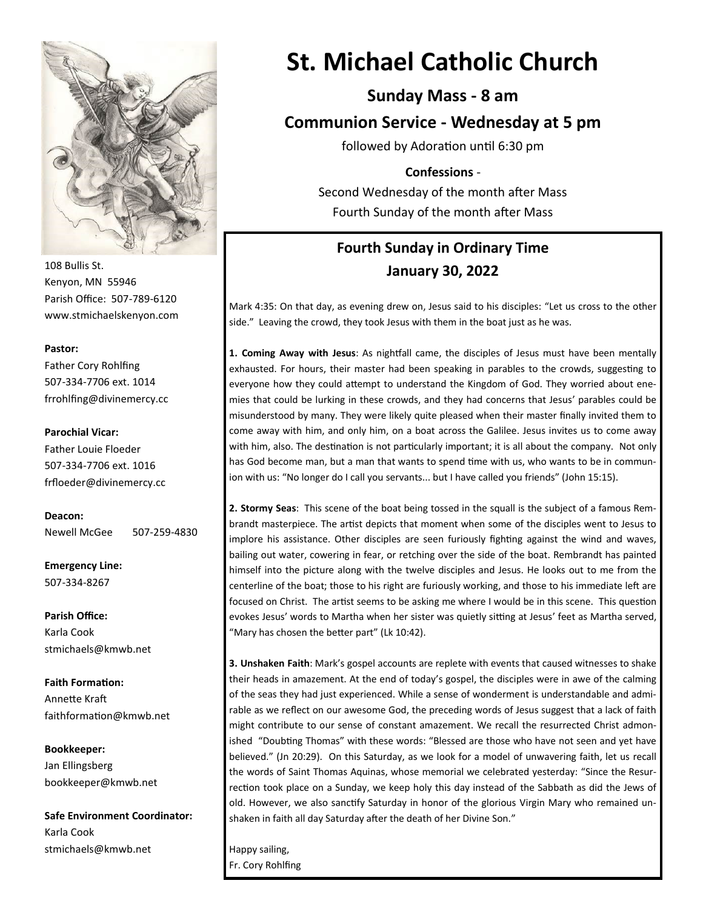

108 Bullis St. Kenyon, MN 55946 Parish Office: 507-789-6120 www.stmichaelskenyon.com

#### **Pastor:**

Father Cory Rohlfing 507-334-7706 ext. 1014 frrohlfing@divinemercy.cc

#### **Parochial Vicar:**

Father Louie Floeder 507-334-7706 ext. 1016 frfloeder@divinemercy.cc

**Deacon:**  Newell McGee 507-259-4830

**Emergency Line:** 507-334-8267

**Parish Office:**  Karla Cook stmichaels@kmwb.net

**Faith Formation:**  Annette Kraft faithformation@kmwb.net

**Bookkeeper:**  Jan Ellingsberg bookkeeper@kmwb.net

**Safe Environment Coordinator:** Karla Cook stmichaels@kmwb.net

# **St. Michael Catholic Church**

### **Sunday Mass - 8 am**

**Communion Service - Wednesday at 5 pm**

followed by Adoration until 6:30 pm

#### **Confessions** -

Second Wednesday of the month after Mass Fourth Sunday of the month after Mass

## **Fourth Sunday in Ordinary Time January 30, 2022**

Mark 4:35: On that day, as evening drew on, Jesus said to his disciples: "Let us cross to the other side." Leaving the crowd, they took Jesus with them in the boat just as he was.

**1. Coming Away with Jesus**: As nightfall came, the disciples of Jesus must have been mentally exhausted. For hours, their master had been speaking in parables to the crowds, suggesting to everyone how they could attempt to understand the Kingdom of God. They worried about enemies that could be lurking in these crowds, and they had concerns that Jesus' parables could be misunderstood by many. They were likely quite pleased when their master finally invited them to come away with him, and only him, on a boat across the Galilee. Jesus invites us to come away with him, also. The destination is not particularly important; it is all about the company. Not only has God become man, but a man that wants to spend time with us, who wants to be in communion with us: "No longer do I call you servants... but I have called you friends" (John 15:15).

**2. Stormy Seas**: This scene of the boat being tossed in the squall is the subject of a famous Rembrandt masterpiece. The artist depicts that moment when some of the disciples went to Jesus to implore his assistance. Other disciples are seen furiously fighting against the wind and waves, bailing out water, cowering in fear, or retching over the side of the boat. Rembrandt has painted himself into the picture along with the twelve disciples and Jesus. He looks out to me from the centerline of the boat; those to his right are furiously working, and those to his immediate left are focused on Christ. The artist seems to be asking me where I would be in this scene. This question evokes Jesus' words to Martha when her sister was quietly sitting at Jesus' feet as Martha served, "Mary has chosen the better part" (Lk 10:42).

**3. Unshaken Faith**: Mark's gospel accounts are replete with events that caused witnesses to shake their heads in amazement. At the end of today's gospel, the disciples were in awe of the calming of the seas they had just experienced. While a sense of wonderment is understandable and admirable as we reflect on our awesome God, the preceding words of Jesus suggest that a lack of faith might contribute to our sense of constant amazement. We recall the resurrected Christ admonished "Doubting Thomas" with these words: "Blessed are those who have not seen and yet have believed." (Jn 20:29). On this Saturday, as we look for a model of unwavering faith, let us recall the words of Saint Thomas Aquinas, whose memorial we celebrated yesterday: "Since the Resurrection took place on a Sunday, we keep holy this day instead of the Sabbath as did the Jews of old. However, we also sanctify Saturday in honor of the glorious Virgin Mary who remained unshaken in faith all day Saturday after the death of her Divine Son."

Happy sailing, Fr. Cory Rohlfing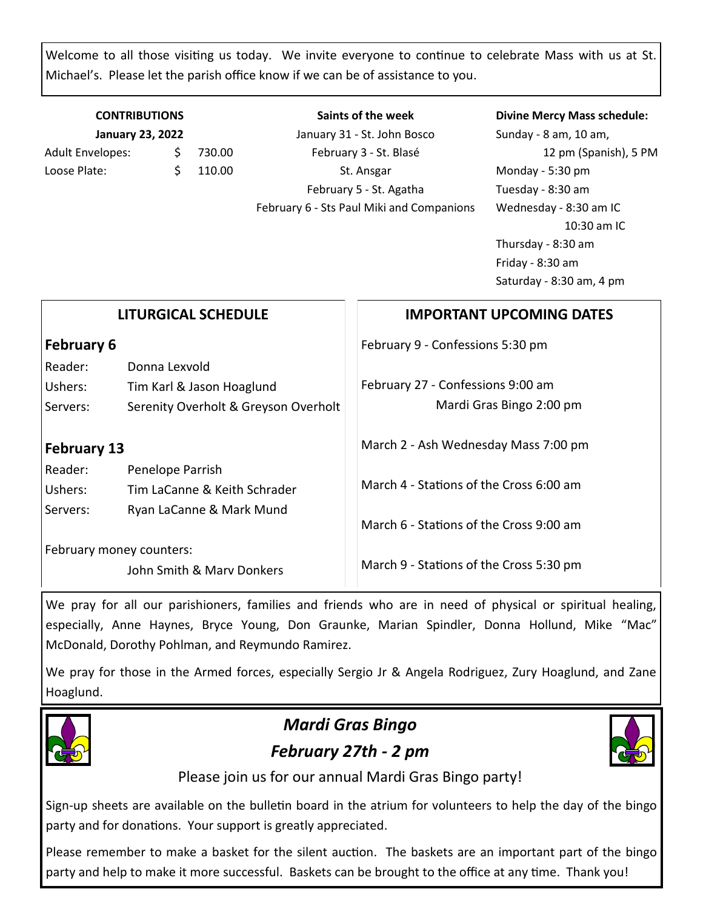Welcome to all those visiting us today. We invite everyone to continue to celebrate Mass with us at St. Michael's. Please let the parish office know if we can be of assistance to you.

### **CONTRIBUTIONS January 23, 2022** Adult Envelopes: \$ 730.00 Loose Plate: \$ 110.00

**Saints of the week** January 31 - St. John Bosco February 3 - St. Blasé St. Ansgar February 5 - St. Agatha February 6 - Sts Paul Miki and Companions

#### **Divine Mercy Mass schedule:**

Sunday - 8 am, 10 am, 12 pm (Spanish), 5 PM Monday - 5:30 pm Tuesday - 8:30 am Wednesday - 8:30 am IC 10:30 am IC Thursday - 8:30 am Friday - 8:30 am Saturday - 8:30 am, 4 pm

| <b>LITURGICAL SCHEDULE</b>                            |                                      | <b>IMPORTANT UPCOMING DATES</b>         |
|-------------------------------------------------------|--------------------------------------|-----------------------------------------|
| <b>February 6</b>                                     |                                      | February 9 - Confessions 5:30 pm        |
| Reader:                                               | Donna Lexvold                        |                                         |
| Ushers:                                               | Tim Karl & Jason Hoaglund            | February 27 - Confessions 9:00 am       |
| Servers:                                              | Serenity Overholt & Greyson Overholt | Mardi Gras Bingo 2:00 pm                |
| <b>February 13</b><br>Reader:<br>Penelope Parrish     |                                      | March 2 - Ash Wednesday Mass 7:00 pm    |
| Ushers:                                               | Tim LaCanne & Keith Schrader         | March 4 - Stations of the Cross 6:00 am |
| Servers:                                              | Ryan LaCanne & Mark Mund             | March 6 - Stations of the Cross 9:00 am |
| February money counters:<br>John Smith & Marv Donkers |                                      | March 9 - Stations of the Cross 5:30 pm |

We pray for all our parishioners, families and friends who are in need of physical or spiritual healing, especially, Anne Haynes, Bryce Young, Don Graunke, Marian Spindler, Donna Hollund, Mike "Mac" McDonald, Dorothy Pohlman, and Reymundo Ramirez.

We pray for those in the Armed forces, especially Sergio Jr & Angela Rodriguez, Zury Hoaglund, and Zane Hoaglund.



# *Mardi Gras Bingo February 27th - 2 pm*



Please join us for our annual Mardi Gras Bingo party!

Sign-up sheets are available on the bulletin board in the atrium for volunteers to help the day of the bingo party and for donations. Your support is greatly appreciated.

Please remember to make a basket for the silent auction. The baskets are an important part of the bingo party and help to make it more successful. Baskets can be brought to the office at any time. Thank you!